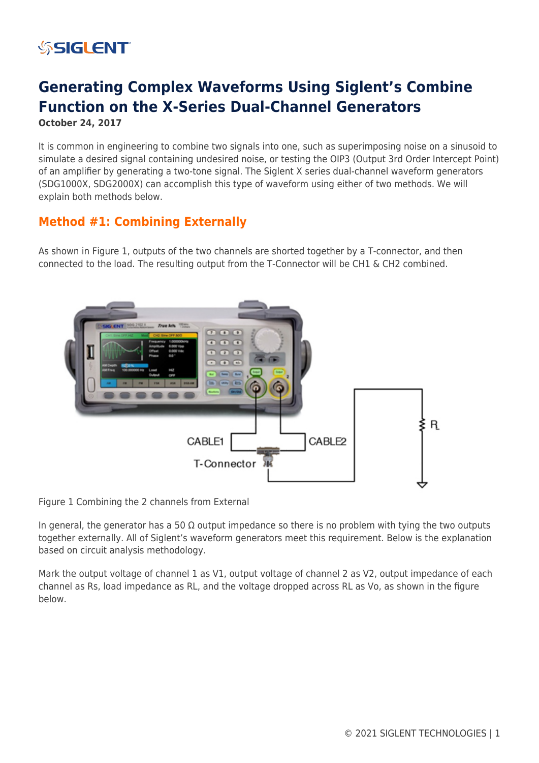## **SSIGLENT**

## **Generating Complex Waveforms Using Siglent's Combine Function on the X-Series Dual-Channel Generators**

**October 24, 2017**

It is common in engineering to combine two signals into one, such as superimposing noise on a sinusoid to simulate a desired signal containing undesired noise, or testing the OIP3 (Output 3rd Order Intercept Point) of an amplifier by generating a two-tone signal. The Siglent X series dual-channel waveform generators (SDG1000X, SDG2000X) can accomplish this type of waveform using either of two methods. We will explain both methods below.

## **Method #1: Combining Externally**

As shown in Figure 1, outputs of the two channels are shorted together by a T-connector, and then connected to the load. The resulting output from the T-Connector will be CH1 & CH2 combined.



Figure 1 Combining the 2 channels from External

In general, the generator has a 50  $\Omega$  output impedance so there is no problem with tying the two outputs together externally. All of Siglent's waveform generators meet this requirement. Below is the explanation based on circuit analysis methodology.

Mark the output voltage of channel 1 as V1, output voltage of channel 2 as V2, output impedance of each channel as Rs, load impedance as RL, and the voltage dropped across RL as Vo, as shown in the figure below.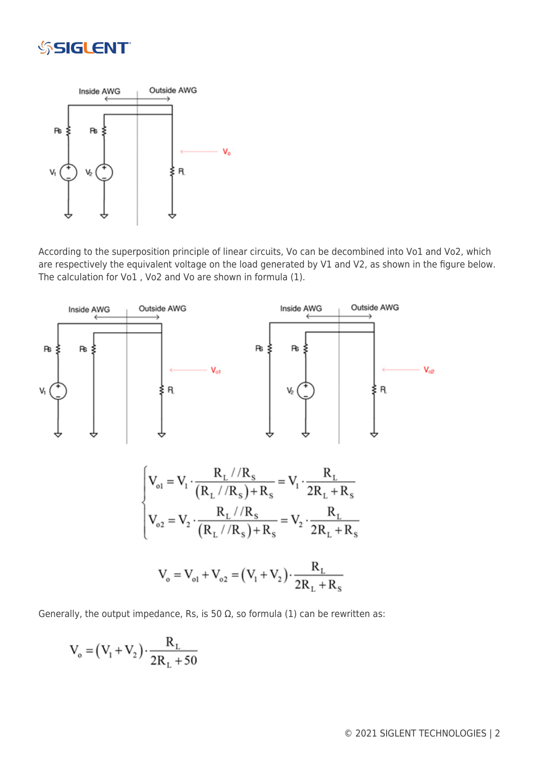



According to the superposition principle of linear circuits, Vo can be decombined into Vo1 and Vo2, which are respectively the equivalent voltage on the load generated by V1 and V2, as shown in the figure below. The calculation for Vo1 , Vo2 and Vo are shown in formula (1).



Generally, the output impedance, Rs, is 50  $\Omega$ , so formula (1) can be rewritten as:

$$
V_o = (V_1 + V_2) \cdot \frac{R_L}{2R_L + 50}
$$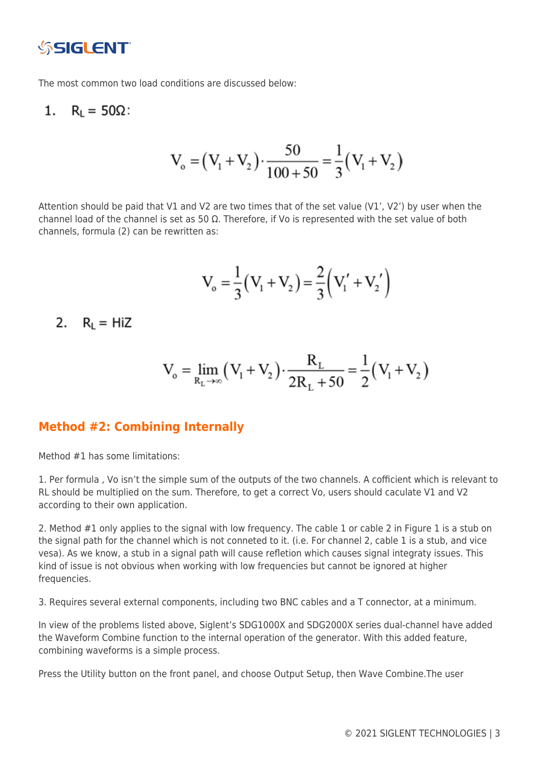

The most common two load conditions are discussed below:

1. 
$$
R_L = 50\Omega
$$
:

$$
V_o = (V_1 + V_2) \cdot \frac{50}{100 + 50} = \frac{1}{3} (V_1 + V_2)
$$

Attention should be paid that V1 and V2 are two times that of the set value (V1', V2') by user when the channel load of the channel is set as 50  $\Omega$ . Therefore, if Vo is represented with the set value of both channels, formula (2) can be rewritten as:

$$
V_o = \frac{1}{3}(V_1 + V_2) = \frac{2}{3}(V_1' + V_2')
$$

2.  $R_1 = HiZ$ 

$$
V_o = \lim_{R_L \to \infty} (V_1 + V_2) \cdot \frac{R_L}{2R_L + 50} = \frac{1}{2} (V_1 + V_2)
$$

### **Method #2: Combining Internally**

Method #1 has some limitations:

1. Per formula , Vo isn't the simple sum of the outputs of the two channels. A cofficient which is relevant to RL should be multiplied on the sum. Therefore, to get a correct Vo, users should caculate V1 and V2 according to their own application.

2. Method #1 only applies to the signal with low frequency. The cable 1 or cable 2 in Figure 1 is a stub on the signal path for the channel which is not conneted to it. (i.e. For channel 2, cable 1 is a stub, and vice vesa). As we know, a stub in a signal path will cause refletion which causes signal integraty issues. This kind of issue is not obvious when working with low frequencies but cannot be ignored at higher frequencies.

3. Requires several external components, including two BNC cables and a T connector, at a minimum.

In view of the problems listed above, Siglent's SDG1000X and SDG2000X series dual-channel have added the Waveform Combine function to the internal operation of the generator. With this added feature, combining waveforms is a simple process.

Press the Utility button on the front panel, and choose Output Setup, then Wave Combine.The user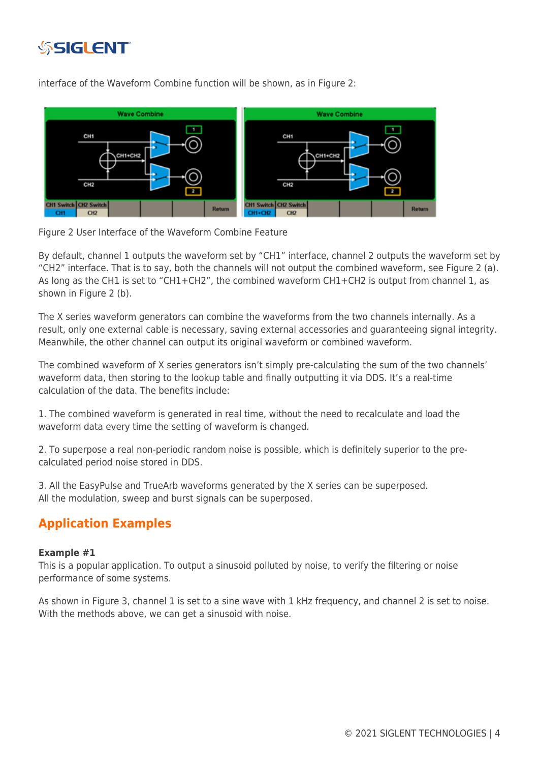

interface of the Waveform Combine function will be shown, as in Figure 2:



Figure 2 User Interface of the Waveform Combine Feature

By default, channel 1 outputs the waveform set by "CH1" interface, channel 2 outputs the waveform set by "CH2" interface. That is to say, both the channels will not output the combined waveform, see Figure 2 (a). As long as the CH1 is set to "CH1+CH2", the combined waveform CH1+CH2 is output from channel 1, as shown in Figure 2 (b).

The X series waveform generators can combine the waveforms from the two channels internally. As a result, only one external cable is necessary, saving external accessories and guaranteeing signal integrity. Meanwhile, the other channel can output its original waveform or combined waveform.

The combined waveform of X series generators isn't simply pre-calculating the sum of the two channels' waveform data, then storing to the lookup table and finally outputting it via DDS. It's a real-time calculation of the data. The benefits include:

1. The combined waveform is generated in real time, without the need to recalculate and load the waveform data every time the setting of waveform is changed.

2. To superpose a real non-periodic random noise is possible, which is definitely superior to the precalculated period noise stored in DDS.

3. All the EasyPulse and TrueArb waveforms generated by the X series can be superposed. All the modulation, sweep and burst signals can be superposed.

## **Application Examples**

### **Example #1**

This is a popular application. To output a sinusoid polluted by noise, to verify the filtering or noise performance of some systems.

As shown in Figure 3, channel 1 is set to a sine wave with 1 kHz frequency, and channel 2 is set to noise. With the methods above, we can get a sinusoid with noise.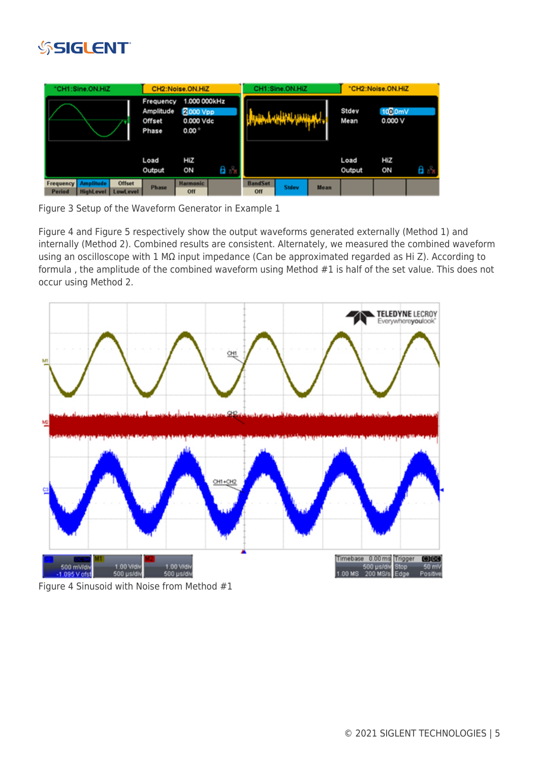

|                                   | "CH1:Sine.ON.HiZ |                                           | CH2:Noise.ON.HiZ                                               |                        |    | CH1:Sine.ON.HiZ       |              |               | "CH2:Noise.ON.HiZ |           |    |
|-----------------------------------|------------------|-------------------------------------------|----------------------------------------------------------------|------------------------|----|-----------------------|--------------|---------------|-------------------|-----------|----|
|                                   |                  | Frequency<br>Amplitude<br>Offset<br>Phase | 1.000 000kHz<br><b>2000 Vpp</b><br>0.000 Vdc<br>$0.00^{\circ}$ |                        |    |                       |              | Stdev<br>Mean | 100.0mV<br>0.000V |           |    |
|                                   |                  |                                           | Load<br>Output                                                 | HiZ<br>ON              | aл |                       |              |               | Load<br>Output    | HiZ<br>ON | aь |
| <b>Frequency</b><br><b>Period</b> | <b>Amplitude</b> | <b>Offset</b><br>HighLevel LowLevel       | <b>Phase</b>                                                   | <b>Harmonic</b><br>Off |    | <b>BandSet</b><br>Off | <b>Stdev</b> | <b>Mean</b>   |                   |           |    |

Figure 3 Setup of the Waveform Generator in Example 1

Figure 4 and Figure 5 respectively show the output waveforms generated externally (Method 1) and internally (Method 2). Combined results are consistent. Alternately, we measured the combined waveform using an oscilloscope with 1 MΩ input impedance (Can be approximated regarded as Hi Z). According to formula , the amplitude of the combined waveform using Method #1 is half of the set value. This does not occur using Method 2.



Figure 4 Sinusoid with Noise from Method #1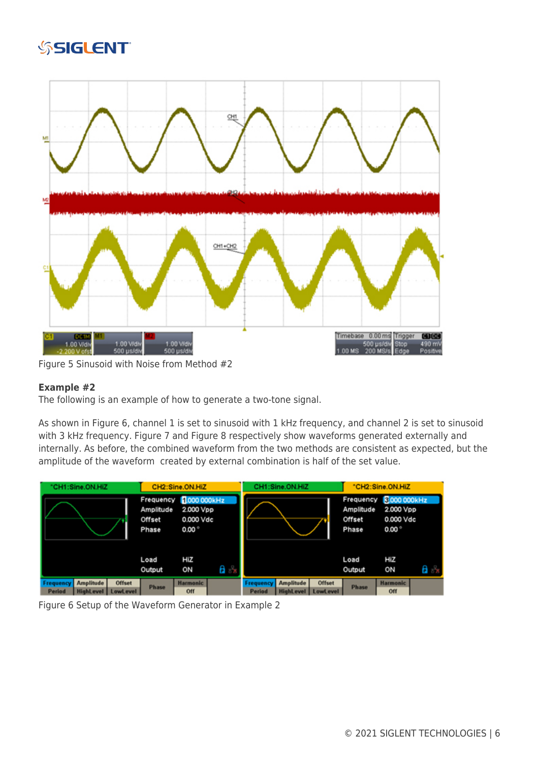# **SSIGLENT**



Figure 5 Sinusoid with Noise from Method #2

### **Example #2**

The following is an example of how to generate a two-tone signal.

As shown in Figure 6, channel 1 is set to sinusoid with 1 kHz frequency, and channel 2 is set to sinusoid with 3 kHz frequency. Figure 7 and Figure 8 respectively show waveforms generated externally and internally. As before, the combined waveform from the two methods are consistent as expected, but the amplitude of the waveform created by external combination is half of the set value.

| "CH1:Sine.ON.HIZ    |                                      |                           | CH2:Sine.ON.HiZ              |                                                                   |      | CH1:Sine.ON.HiZ     |                                      |                           | "CH2:Sine.ON.HiZ                                                                                             |                        |    |
|---------------------|--------------------------------------|---------------------------|------------------------------|-------------------------------------------------------------------|------|---------------------|--------------------------------------|---------------------------|--------------------------------------------------------------------------------------------------------------|------------------------|----|
|                     |                                      |                           | Amplitude<br>Offset<br>Phase | Frequency 1000 000kHz<br>2.000 Vpp<br>0.000 Vdc<br>$0.00^{\circ}$ |      |                     |                                      |                           | <b>8.000 000kHz</b><br>Frequency<br>2.000 Vpp<br>Amplitude<br>0.000 Vdc<br>Offset<br>$0.00^{\circ}$<br>Phase |                        |    |
|                     |                                      |                           | Load<br>Output               | HiZ<br>ON                                                         | 8 ਨੇ |                     |                                      |                           | Load<br>Output                                                                                               | HiZ<br>ON              | Ħа |
| Frequency<br>Period | <b>Amplitude</b><br><b>HighLevel</b> | <b>Offset</b><br>LowLevel | <b>Phase</b>                 | <b>Harmonic</b><br>Off                                            |      | Frequency<br>Period | <b>Amplitude</b><br><b>HighLevel</b> | <b>Offset</b><br>LowLevel | <b>Phase</b>                                                                                                 | <b>Harmonic</b><br>Off |    |

Figure 6 Setup of the Waveform Generator in Example 2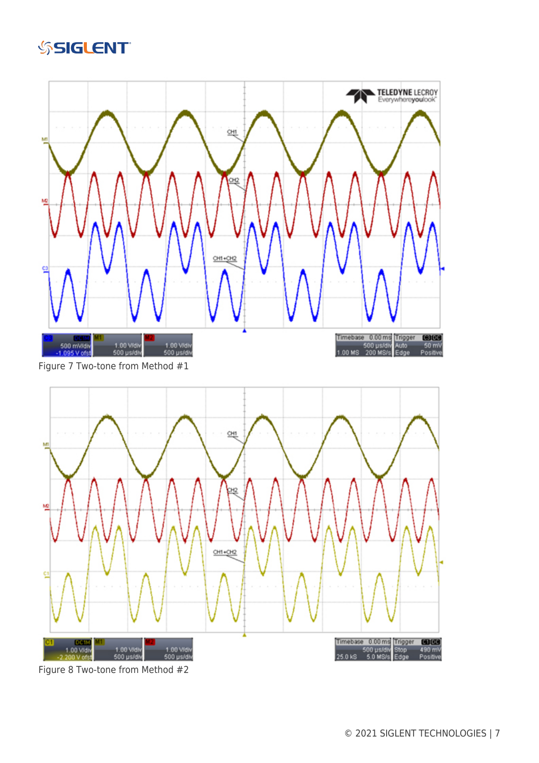





Figure 8 Two-tone from Method #2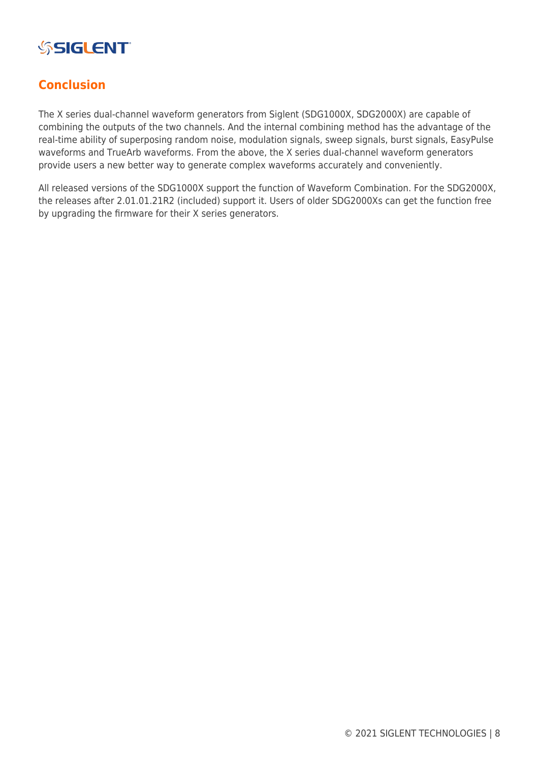

## **Conclusion**

The X series dual-channel waveform generators from Siglent (SDG1000X, SDG2000X) are capable of combining the outputs of the two channels. And the internal combining method has the advantage of the real-time ability of superposing random noise, modulation signals, sweep signals, burst signals, EasyPulse waveforms and TrueArb waveforms. From the above, the X series dual-channel waveform generators provide users a new better way to generate complex waveforms accurately and conveniently.

All released versions of the SDG1000X support the function of Waveform Combination. For the SDG2000X, the releases after 2.01.01.21R2 (included) support it. Users of older SDG2000Xs can get the function free by upgrading the firmware for their X series generators.